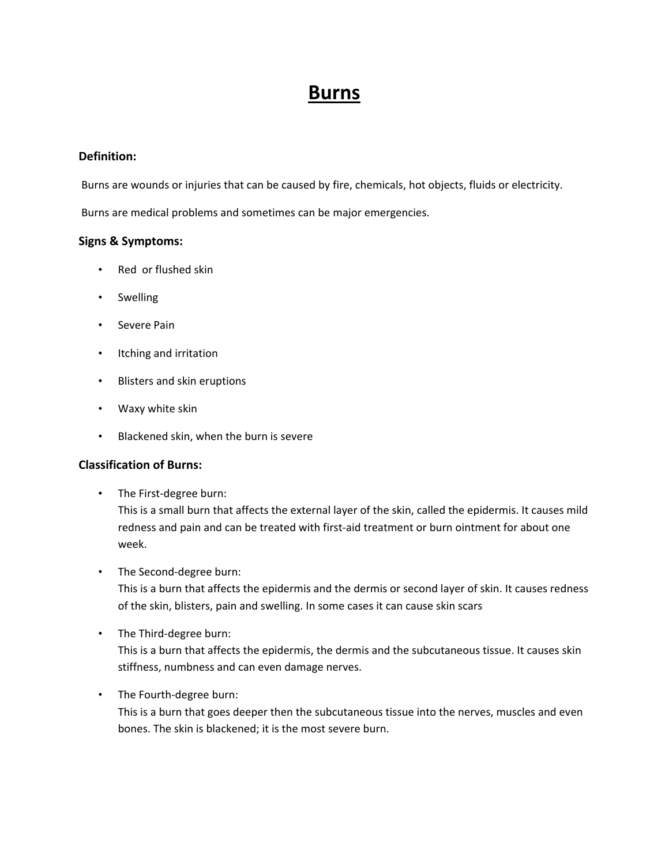# **Burns**

## **Definition:**

Burns are wounds or injuries that can be caused by fire, chemicals, hot objects, fluids or electricity.

Burns are medical problems and sometimes can be major emergencies.

### **Signs & Symptoms:**

- Red or flushed skin
- Swelling
- Severe Pain
- Itching and irritation
- Blisters and skin eruptions
- Waxy white skin
- Blackened skin, when the burn is severe

### **Classification of Burns:**

• The First-degree burn:

This is a small burn that affects the external layer of the skin, called the epidermis. It causes mild redness and pain and can be treated with first‐aid treatment or burn ointment for about one week.

• The Second-degree burn:

This is a burn that affects the epidermis and the dermis or second layer of skin. It causes redness of the skin, blisters, pain and swelling. In some cases it can cause skin scars

• The Third-degree burn:

This is a burn that affects the epidermis, the dermis and the subcutaneous tissue. It causes skin stiffness, numbness and can even damage nerves.

• The Fourth-degree burn:

This is a burn that goes deeper then the subcutaneous tissue into the nerves, muscles and even bones. The skin is blackened; it is the most severe burn.